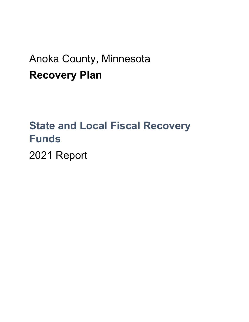## Anoka County, Minnesota **Recovery Plan**

# **State and Local Fiscal Recovery Funds**

2021 Report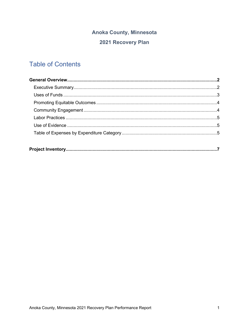## **Anoka County, Minnesota** 2021 Recovery Plan

### **Table of Contents**

|--|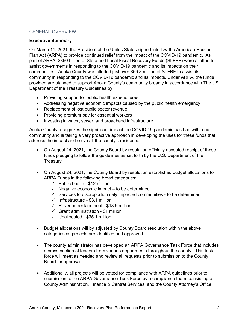#### GENERAL OVERVIEW

#### **Executive Summary**

On March 11, 2021, the President of the Unites States signed into law the American Rescue Plan Act (ARPA) to provide continued relief from the impact of the COVID-19 pandemic. As part of ARPA, \$350 billion of State and Local Fiscal Recovery Funds (SLFRF) were allotted to assist governments in responding to the COVID-19 pandemic and its impacts on their communities. Anoka County was allotted just over \$69.8 million of SLFRF to assist its community in responding to the COVID-19 pandemic and its impacts. Under ARPA, the funds provided are planned to support Anoka County's community broadly in accordance with The US Department of the Treasury Guidelines by:

- Providing support for public health expenditures
- Addressing negative economic impacts caused by the public health emergency
- Replacement of lost public sector revenue
- Providing premium pay for essential workers
- Investing in water, sewer, and broadband infrastructure

Anoka County recognizes the significant impact the COVID-19 pandemic has had within our community and is taking a very proactive approach in developing the uses for these funds that address the impact and serve all the county's residents:

- On August 24, 2021, the County Board by resolution officially accepted receipt of these funds pledging to follow the guidelines as set forth by the U.S. Department of the Treasury.
- On August 24, 2021, the County Board by resolution established budget allocations for ARPA Funds in the following broad categories:
	- $\checkmark$  Public health \$12 million
	- $\checkmark$  Negative economic impact to be determined
	- $\checkmark$  Services to disproportionately impacted communities to be determined
	- $\checkmark$  Infrastructure \$3.1 million
	- $\checkmark$  Revenue replacement \$18.6 million
	- $\checkmark$  Grant administration \$1 million
	- $\checkmark$  Unallocated \$35.1 million
- Budget allocations will by adjusted by County Board resolution within the above categories as projects are identified and approved.
- The county administrator has developed an ARPA Governance Task Force that includes a cross-section of leaders from various departments throughout the county. This task force will meet as needed and review all requests prior to submission to the County Board for approval.
- Additionally, all projects will be vetted for compliance with ARPA guidelines prior to submission to the ARPA Governance Task Force by a compliance team, consisting of County Administration, Finance & Central Services, and the County Attorney's Office.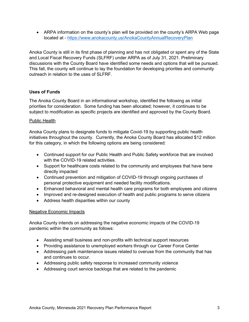• ARPA information on the county's plan will be provided on the county's ARPA Web page located at - <https://www.anokacounty.us/AnokaCountyAnnualRecoveryPlan>

Anoka County is still in its first phase of planning and has not obligated or spent any of the State and Local Fiscal Recovery Funds (SLFRF) under ARPA as of July 31, 2021. Preliminary discussions with the County Board have identified some needs and options that will be pursued. This fall, the county will continue to lay the foundation for developing priorities and community outreach in relation to the uses of SLFRF.

#### **Uses of Funds**

The Anoka County Board in an informational workshop, identified the following as initial priorities for consideration. Some funding has been allocated; however, it continues to be subject to modification as specific projects are identified and approved by the County Board.

#### Public Health

Anoka County plans to designate funds to mitigate Covid-19 by supporting public health initiatives throughout the county. Currently, the Anoka County Board has allocated \$12 million for this category, in which the following options are being considered:

- Continued support for our Public Health and Public Safety workforce that are involved with the COVID-19 related activities.
- Support for healthcare costs related to the community and employees that have bene directly impacted
- Continued prevention and mitigation of COVID-19 through ongoing purchases of personal protective equipment and needed facility modifications.
- Enhanced behavioral and mental health care programs for both employees and citizens
- Improved and re-designed execution of health and public programs to serve citizens
- Address health disparities within our county

#### Negative Economic Impacts

Anoka County intends on addressing the negative economic impacts of the COVID-19 pandemic within the community as follows:

- Assisting small business and non-profits with technical support resources
- Providing assistance to unemployed workers through our Career Force Center
- Addressing park maintenance issues related to overuse from the community that has and continues to occur.
- Addressing public safety response to increased community violence
- Addressing court service backlogs that are related to the pandemic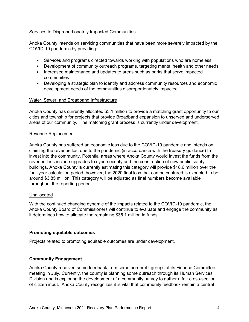#### Services to Disproportionately Impacted Communities

Anoka County intends on servicing communities that have been more severely impacted by the COVID-19 pandemic by providing:

- Services and programs directed towards working with populations who are homeless
- Development of community outreach programs, targeting mental health and other needs
- Increased maintenance and updates to areas such as parks that serve impacted communities
- Developing a strategic plan to identify and address community resources and economic development needs of the communities disproportionately impacted

#### Water, Sewer, and Broadband Infrastructure

Anoka County has currently allocated \$3.1 million to provide a matching grant opportunity to our cities and township for projects that provide Broadband expansion to unserved and underserved areas of our community. The matching grant process is currently under development.

#### Revenue Replacement

Anoka County has suffered an economic loss due to the COVID-19 pandemic and intends on claiming the revenue lost due to the pandemic (in accordance with the treasury guidance) to invest into the community. Potential areas where Anoka County would invest the funds from the revenue loss include upgrades to cybersecurity and the construction of new public safety buildings. Anoka County is currently estimating this category will provide \$18.6 million over the four-year calculation period, however, the 2020 final loss that can be captured is expected to be around \$3.85 million. This category will be adjusted as final numbers become available throughout the reporting period.

#### **Unallocated**

With the continued changing dynamic of the impacts related to the COVID-19 pandemic, the Anoka County Board of Commissioners will continue to evaluate and engage the community as it determines how to allocate the remaining \$35.1 million in funds.

#### **Promoting equitable outcomes**

Projects related to promoting equitable outcomes are under development.

#### **Community Engagement**

Anoka County received some feedback from some non-profit groups at its Finance Committee meeting in July. Currently, the county is planning some outreach through its Human Services Division and is exploring the development of a community survey to gather a fair cross-section of citizen input. Anoka County recognizes it is vital that community feedback remain a central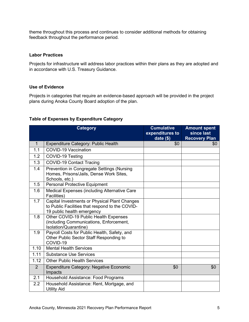theme throughout this process and continues to consider additional methods for obtaining feedback throughout the performance period.

#### **Labor Practices**

Projects for infrastructure will address labor practices within their plans as they are adopted and in accordance with U.S. Treasury Guidance.

#### **Use of Evidence**

Projects in categories that require an evidence-based approach will be provided in the project plans during Anoka County Board adoption of the plan.

#### **Table of Expenses by Expenditure Category**

|                | <b>Category</b>                                                                                                                | <b>Cumulative</b><br>expenditures to<br>date $($)$ | <b>Amount spent</b><br>since last<br><b>Recovery Plan</b> |
|----------------|--------------------------------------------------------------------------------------------------------------------------------|----------------------------------------------------|-----------------------------------------------------------|
| $\mathbf{1}$   | <b>Expenditure Category: Public Health</b>                                                                                     | \$0                                                | \$0                                                       |
| 1.1            | <b>COVID-19 Vaccination</b>                                                                                                    |                                                    |                                                           |
| 1.2            | COVID-19 Testing                                                                                                               |                                                    |                                                           |
| 1.3            | <b>COVID-19 Contact Tracing</b>                                                                                                |                                                    |                                                           |
| 1.4            | Prevention in Congregate Settings (Nursing<br>Homes, Prisons/Jails, Dense Work Sites,<br>Schools, etc.)                        |                                                    |                                                           |
| 1.5            | <b>Personal Protective Equipment</b>                                                                                           |                                                    |                                                           |
| 1.6            | Medical Expenses (including Alternative Care<br>Facilities)                                                                    |                                                    |                                                           |
| 1.7            | Capital Investments or Physical Plant Changes<br>to Public Facilities that respond to the COVID-<br>19 public health emergency |                                                    |                                                           |
| 1.8            | Other COVID-19 Public Health Expenses<br>(including Communications, Enforcement,<br>Isolation/Quarantine)                      |                                                    |                                                           |
| 1.9            | Payroll Costs for Public Health, Safety, and<br>Other Public Sector Staff Responding to<br>COVID-19                            |                                                    |                                                           |
| 1.10           | <b>Mental Health Services</b>                                                                                                  |                                                    |                                                           |
| 1.11           | <b>Substance Use Services</b>                                                                                                  |                                                    |                                                           |
| 1.12           | <b>Other Public Health Services</b>                                                                                            |                                                    |                                                           |
| $\overline{2}$ | <b>Expenditure Category: Negative Economic</b><br>Impacts                                                                      | \$0                                                | \$0                                                       |
| 2.1            | Household Assistance: Food Programs                                                                                            |                                                    |                                                           |
| 2.2            | Household Assistance: Rent, Mortgage, and<br><b>Utility Aid</b>                                                                |                                                    |                                                           |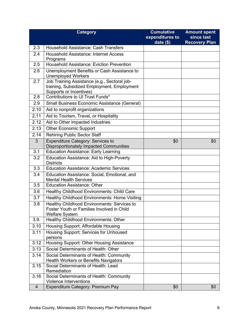|                | <b>Category</b>                                                                                                        | <b>Cumulative</b><br>expenditures to | <b>Amount spent</b><br>since last |
|----------------|------------------------------------------------------------------------------------------------------------------------|--------------------------------------|-----------------------------------|
|                |                                                                                                                        | date $($)$                           | <b>Recovery Plan</b>              |
| 2.3            | <b>Household Assistance: Cash Transfers</b>                                                                            |                                      |                                   |
| 2.4            | <b>Household Assistance: Internet Access</b><br>Programs                                                               |                                      |                                   |
| 2.5            | <b>Household Assistance: Eviction Prevention</b>                                                                       |                                      |                                   |
| 2.6            | Unemployment Benefits or Cash Assistance to<br><b>Unemployed Workers</b>                                               |                                      |                                   |
| 2.7            | Job Training Assistance (e.g., Sectoral job-<br>training, Subsidized Employment, Employment<br>Supports or Incentives) |                                      |                                   |
| 2.8            | Contributions to UI Trust Funds*                                                                                       |                                      |                                   |
| 2.9            | <b>Small Business Economic Assistance (General)</b>                                                                    |                                      |                                   |
| 2.10           | Aid to nonprofit organizations                                                                                         |                                      |                                   |
| 2.11           | Aid to Tourism, Travel, or Hospitality                                                                                 |                                      |                                   |
| 2.12           | Aid to Other Impacted Industries                                                                                       |                                      |                                   |
| 2.13           | <b>Other Economic Support</b>                                                                                          |                                      |                                   |
| 2.14           | <b>Rehiring Public Sector Staff</b>                                                                                    |                                      |                                   |
| $\overline{3}$ | Expenditure Category: Services to<br><b>Disproportionately Impacted Communities</b>                                    | \$0                                  | \$0                               |
| 3.1            | <b>Education Assistance: Early Learning</b>                                                                            |                                      |                                   |
| 3.2            | Education Assistance: Aid to High-Poverty<br><b>Districts</b>                                                          |                                      |                                   |
| 3.3            | <b>Education Assistance: Academic Services</b>                                                                         |                                      |                                   |
| 3.4            | Education Assistance: Social, Emotional, and<br><b>Mental Health Services</b>                                          |                                      |                                   |
| 3.5            | <b>Education Assistance: Other</b>                                                                                     |                                      |                                   |
| 3.6            | Healthy Childhood Environments: Child Care                                                                             |                                      |                                   |
| 3.7            | Healthy Childhood Environments: Home Visiting                                                                          |                                      |                                   |
| 3.8            | Healthy Childhood Environments: Services to<br>Foster Youth or Families Involved in Child<br><b>Welfare System</b>     |                                      |                                   |
| 3.9.           | Healthy Childhood Environments: Other                                                                                  |                                      |                                   |
| 3.10           | Housing Support: Affordable Housing                                                                                    |                                      |                                   |
| 3.11           | Housing Support: Services for Unhoused<br>persons                                                                      |                                      |                                   |
| 3.12           | Housing Support: Other Housing Assistance                                                                              |                                      |                                   |
| 3.13           | Social Determinants of Health: Other                                                                                   |                                      |                                   |
| 3.14           | Social Determinants of Health: Community<br><b>Health Workers or Benefits Navigators</b>                               |                                      |                                   |
| 3.15           | Social Determinants of Health: Lead<br>Remediation                                                                     |                                      |                                   |
| 3.16           | Social Determinants of Health: Community<br><b>Violence Interventions</b>                                              |                                      |                                   |
| $\overline{4}$ | Expenditure Category: Premium Pay                                                                                      | \$0                                  | \$0                               |